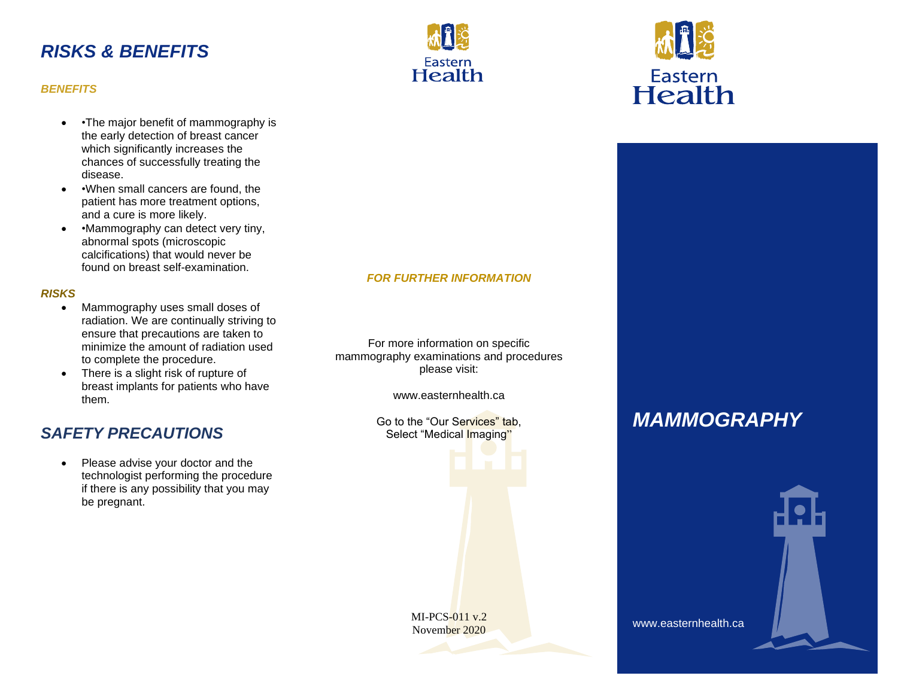### *RISKS & BENEFITS*



### *BENEFITS*

- •The major benefit of mammography is the early detection of breast cancer which significantly increases the chances of successfully treating the disease.
- • When small cancers are found, the patient has more treatment options, and a cure is more likely.
- • Mammography can detect very tiny, abnormal spots (microscopic calcifications) that would never be found on breast self-examination.

### *RISKS*

- Mammography uses small doses of radiation. We are continually striving to ensure that precautions are taken to minimize the amount of radiation used to complete the procedure.
- There is a slight risk of rupture of breast implants for patients who have them.

### *SAFETY PRECAUTIONS*

Please advise your doctor and the technologist performing the procedure if there is any possibility that you may be pregnant.

### *FOR FURTHER INFORMATION*

For more information on specific mammography examinations and procedures please visit:

www.easternhealth.ca

Go to the "Our Services" tab, Select "Medical Imaging"





# *MAMMOGRAPHY*



www.easternhealth.ca